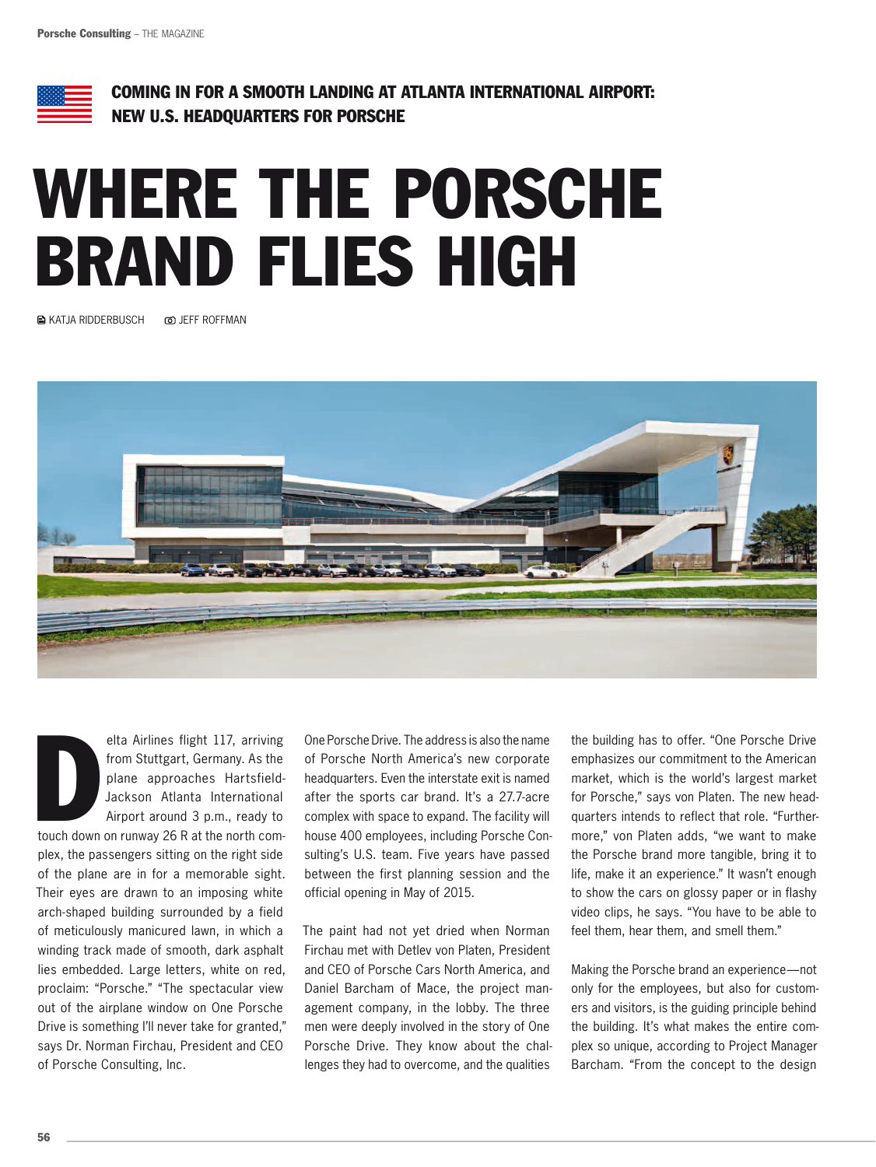

Coming in for a smooth landing at Atlanta International Airport: New U.S. headquarters for Porsche

## Where the Porsche brand flies high

**A KATJA RIDDERBUSCH © JEFF ROFFMAN** 



elta Airlines flight 117, arriving<br>from Stuttgart, Germany. As the<br>plane approaches Hartsfield-<br>Jackson Atlanta International<br>Airport around 3 p.m., ready to<br>touch down on runway 26 R at the north comelta Airlines flight 117, arriving from Stuttgart, Germany. As the plane approaches Hartsfield-Jackson Atlanta International Airport around 3 p.m., ready to

plex, the passengers sitting on the right side of the plane are in for a memorable sight. Their eyes are drawn to an imposing white arch-shaped building surrounded by a field of meticulously manicured lawn, in which a winding track made of smooth, dark asphalt lies embedded. Large letters, white on red, proclaim: "Porsche." "The spectacular view out of the airplane window on One Porsche Drive is something I'll never take for granted," says Dr. Norman Firchau, President and CEO of Porsche Consulting, Inc.

One Porsche Drive. The address is also the name of Porsche North America's new corporate headquarters. Even the interstate exit is named after the sports car brand. It's a 27.7-acre complex with space to expand. The facility will house 400 employees, including Porsche Consulting's U.S. team. Five years have passed between the first planning session and the official opening in May of 2015.

The paint had not yet dried when Norman Firchau met with Detlev von Platen, President and CEO of Porsche Cars North America, and Daniel Barcham of Mace, the project management company, in the lobby. The three men were deeply involved in the story of One Porsche Drive. They know about the challenges they had to overcome, and the qualities

the building has to offer. "One Porsche Drive emphasizes our commitment to the American market, which is the world's largest market for Porsche," says von Platen. The new headquarters intends to reflect that role. "Furthermore," von Platen adds, "we want to make the Porsche brand more tangible, bring it to life, make it an experience." It wasn't enough to show the cars on glossy paper or in flashy video clips, he says. "You have to be able to feel them, hear them, and smell them."

Making the Porsche brand an experience—not only for the employees, but also for customers and visitors, is the guiding principle behind the building. It's what makes the entire complex so unique, according to Project Manager Barcham. "From the concept to the design